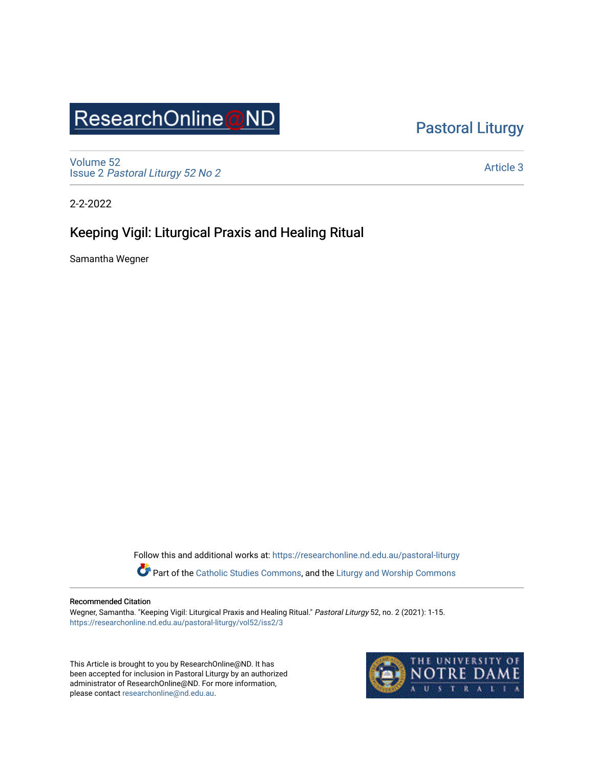# ResearchOnline@ND

[Pastoral Liturgy](https://researchonline.nd.edu.au/pastoral-liturgy) 

[Volume 52](https://researchonline.nd.edu.au/pastoral-liturgy/vol52) Issue 2 [Pastoral Liturgy 52 No 2](https://researchonline.nd.edu.au/pastoral-liturgy/vol52/iss2)

[Article 3](https://researchonline.nd.edu.au/pastoral-liturgy/vol52/iss2/3) 

2-2-2022

## Keeping Vigil: Liturgical Praxis and Healing Ritual

Samantha Wegner

Follow this and additional works at: [https://researchonline.nd.edu.au/pastoral-liturgy](https://researchonline.nd.edu.au/pastoral-liturgy?utm_source=researchonline.nd.edu.au%2Fpastoral-liturgy%2Fvol52%2Fiss2%2F3&utm_medium=PDF&utm_campaign=PDFCoverPages)

Part of the [Catholic Studies Commons,](http://network.bepress.com/hgg/discipline/1294?utm_source=researchonline.nd.edu.au%2Fpastoral-liturgy%2Fvol52%2Fiss2%2F3&utm_medium=PDF&utm_campaign=PDFCoverPages) and the [Liturgy and Worship Commons](http://network.bepress.com/hgg/discipline/1188?utm_source=researchonline.nd.edu.au%2Fpastoral-liturgy%2Fvol52%2Fiss2%2F3&utm_medium=PDF&utm_campaign=PDFCoverPages) 

#### Recommended Citation

Wegner, Samantha. "Keeping Vigil: Liturgical Praxis and Healing Ritual." Pastoral Liturgy 52, no. 2 (2021): 1-15. [https://researchonline.nd.edu.au/pastoral-liturgy/vol52/iss2/3](https://researchonline.nd.edu.au/pastoral-liturgy/vol52/iss2/3?utm_source=researchonline.nd.edu.au%2Fpastoral-liturgy%2Fvol52%2Fiss2%2F3&utm_medium=PDF&utm_campaign=PDFCoverPages) 

This Article is brought to you by ResearchOnline@ND. It has been accepted for inclusion in Pastoral Liturgy by an authorized administrator of ResearchOnline@ND. For more information, please contact [researchonline@nd.edu.au.](mailto:researchonline@nd.edu.au)

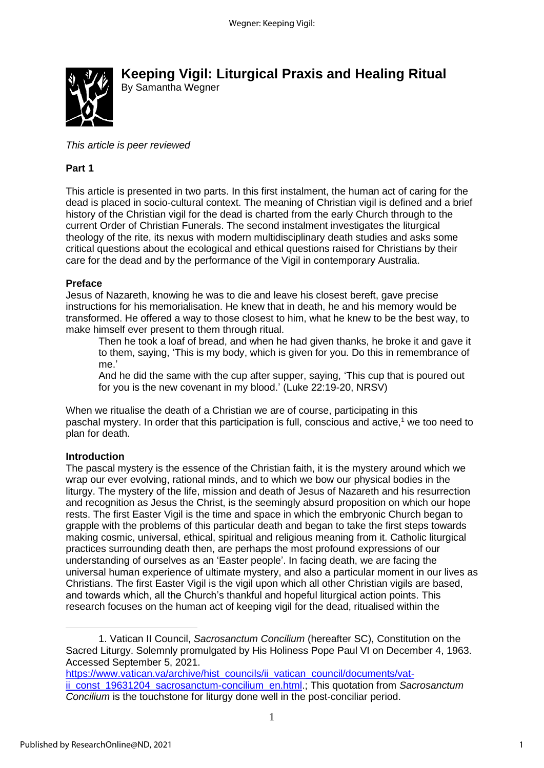

**Keeping Vigil: Liturgical Praxis and Healing Ritual** By Samantha Wegner

*This article is peer reviewed*

#### **Part 1**

This article is presented in two parts. In this first instalment, the human act of caring for the dead is placed in socio-cultural context. The meaning of Christian vigil is defined and a brief history of the Christian vigil for the dead is charted from the early Church through to the current Order of Christian Funerals. The second instalment investigates the liturgical theology of the rite, its nexus with modern multidisciplinary death studies and asks some critical questions about the ecological and ethical questions raised for Christians by their care for the dead and by the performance of the Vigil in contemporary Australia.

#### **Preface**

Jesus of Nazareth, knowing he was to die and leave his closest bereft, gave precise instructions for his memorialisation. He knew that in death, he and his memory would be transformed. He offered a way to those closest to him, what he knew to be the best way, to make himself ever present to them through ritual.

Then he took a loaf of bread, and when he had given thanks, he broke it and gave it to them, saying, 'This is my body, which is given for you. Do this in remembrance of me.'

And he did the same with the cup after supper, saying, 'This cup that is poured out for you is the new covenant in my blood.' (Luke 22:19-20, NRSV)

When we ritualise the death of a Christian we are of course, participating in this paschal mystery. In order that this participation is full, conscious and active, <sup>1</sup> we too need to plan for death.

#### **Introduction**

The pascal mystery is the essence of the Christian faith, it is the mystery around which we wrap our ever evolving, rational minds, and to which we bow our physical bodies in the liturgy. The mystery of the life, mission and death of Jesus of Nazareth and his resurrection and recognition as Jesus the Christ, is the seemingly absurd proposition on which our hope rests. The first Easter Vigil is the time and space in which the embryonic Church began to grapple with the problems of this particular death and began to take the first steps towards making cosmic, universal, ethical, spiritual and religious meaning from it. Catholic liturgical practices surrounding death then, are perhaps the most profound expressions of our understanding of ourselves as an 'Easter people'. In facing death, we are facing the universal human experience of ultimate mystery, and also a particular moment in our lives as Christians. The first Easter Vigil is the vigil upon which all other Christian vigils are based, and towards which, all the Church's thankful and hopeful liturgical action points. This research focuses on the human act of keeping vigil for the dead, ritualised within the

1. Vatican II Council, *Sacrosanctum Concilium* (hereafter SC), Constitution on the Sacred Liturgy. Solemnly promulgated by His Holiness Pope Paul VI on December 4, 1963. Accessed September 5, 2021.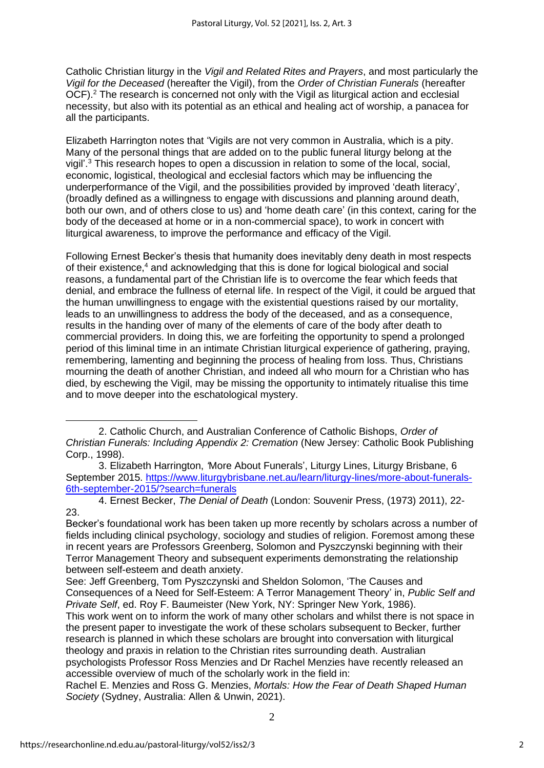Catholic Christian liturgy in the *Vigil and Related Rites and Prayers*, and most particularly the *Vigil for the Deceased* (hereafter the Vigil), from the *Order of Christian Funerals* (hereafter OCF).<sup>2</sup> The research is concerned not only with the Vigil as liturgical action and ecclesial necessity, but also with its potential as an ethical and healing act of worship, a panacea for all the participants.

Elizabeth Harrington notes that 'Vigils are not very common in Australia, which is a pity. Many of the personal things that are added on to the public funeral liturgy belong at the vigil'. <sup>3</sup> This research hopes to open a discussion in relation to some of the local, social, economic, logistical, theological and ecclesial factors which may be influencing the underperformance of the Vigil, and the possibilities provided by improved 'death literacy', (broadly defined as a willingness to engage with discussions and planning around death, both our own, and of others close to us) and 'home death care' (in this context, caring for the body of the deceased at home or in a non-commercial space), to work in concert with liturgical awareness, to improve the performance and efficacy of the Vigil.

Following Ernest Becker's thesis that humanity does inevitably deny death in most respects of their existence, <sup>4</sup> and acknowledging that this is done for logical biological and social reasons, a fundamental part of the Christian life is to overcome the fear which feeds that denial, and embrace the fullness of eternal life. In respect of the Vigil, it could be argued that the human unwillingness to engage with the existential questions raised by our mortality, leads to an unwillingness to address the body of the deceased, and as a consequence, results in the handing over of many of the elements of care of the body after death to commercial providers. In doing this, we are forfeiting the opportunity to spend a prolonged period of this liminal time in an intimate Christian liturgical experience of gathering, praying, remembering, lamenting and beginning the process of healing from loss. Thus, Christians mourning the death of another Christian, and indeed all who mourn for a Christian who has died, by eschewing the Vigil, may be missing the opportunity to intimately ritualise this time and to move deeper into the eschatological mystery.

<sup>2.</sup> Catholic Church, and Australian Conference of Catholic Bishops, *Order of Christian Funerals: Including Appendix 2: Cremation* (New Jersey: Catholic Book Publishing Corp., 1998).

<sup>3.</sup> Elizabeth Harrington, *'*More About Funerals', Liturgy Lines, Liturgy Brisbane, 6 September 2015. [https://www.liturgybrisbane.net.au/learn/liturgy-lines/more-about-funerals-](https://www.liturgybrisbane.net.au/learn/liturgy-lines/more-about-funerals-6th-september-2015/?search=funerals)[6th-september-2015/?search=funerals](https://www.liturgybrisbane.net.au/learn/liturgy-lines/more-about-funerals-6th-september-2015/?search=funerals)

<sup>4.</sup> Ernest Becker, *The Denial of Death* (London: Souvenir Press, (1973) 2011), 22- 23.

Becker's foundational work has been taken up more recently by scholars across a number of fields including clinical psychology, sociology and studies of religion. Foremost among these in recent years are Professors Greenberg, Solomon and Pyszczynski beginning with their Terror Management Theory and subsequent experiments demonstrating the relationship between self-esteem and death anxiety.

See: Jeff Greenberg, Tom Pyszczynski and Sheldon Solomon, 'The Causes and Consequences of a Need for Self-Esteem: A Terror Management Theory' in, *Public Self and Private Self*, ed. Roy F. Baumeister (New York, NY: Springer New York, 1986).

This work went on to inform the work of many other scholars and whilst there is not space in the present paper to investigate the work of these scholars subsequent to Becker, further research is planned in which these scholars are brought into conversation with liturgical theology and praxis in relation to the Christian rites surrounding death. Australian psychologists Professor Ross Menzies and Dr Rachel Menzies have recently released an accessible overview of much of the scholarly work in the field in:

Rachel E. Menzies and Ross G. Menzies, *Mortals: How the Fear of Death Shaped Human Society* (Sydney, Australia: Allen & Unwin, 2021).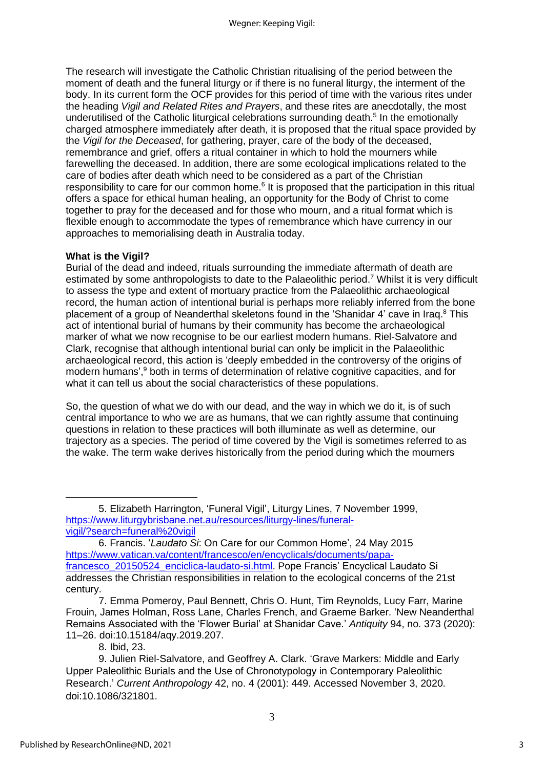The research will investigate the Catholic Christian ritualising of the period between the moment of death and the funeral liturgy or if there is no funeral liturgy, the interment of the body. In its current form the OCF provides for this period of time with the various rites under the heading *Vigil and Related Rites and Prayers*, and these rites are anecdotally, the most underutilised of the Catholic liturgical celebrations surrounding death.<sup>5</sup> In the emotionally charged atmosphere immediately after death, it is proposed that the ritual space provided by the *Vigil for the Deceased*, for gathering, prayer, care of the body of the deceased, remembrance and grief, offers a ritual container in which to hold the mourners while farewelling the deceased. In addition, there are some ecological implications related to the care of bodies after death which need to be considered as a part of the Christian responsibility to care for our common home.<sup>6</sup> It is proposed that the participation in this ritual offers a space for ethical human healing, an opportunity for the Body of Christ to come together to pray for the deceased and for those who mourn, and a ritual format which is flexible enough to accommodate the types of remembrance which have currency in our approaches to memorialising death in Australia today.

#### **What is the Vigil?**

Burial of the dead and indeed, rituals surrounding the immediate aftermath of death are estimated by some anthropologists to date to the Palaeolithic period.<sup>7</sup> Whilst it is very difficult to assess the type and extent of mortuary practice from the Palaeolithic archaeological record, the human action of intentional burial is perhaps more reliably inferred from the bone placement of a group of Neanderthal skeletons found in the 'Shanidar 4' cave in Iraq.<sup>8</sup> This act of intentional burial of humans by their community has become the archaeological marker of what we now recognise to be our earliest modern humans. Riel-Salvatore and Clark, recognise that although intentional burial can only be implicit in the Palaeolithic archaeological record, this action is 'deeply embedded in the controversy of the origins of modern humans', <sup>9</sup> both in terms of determination of relative cognitive capacities, and for what it can tell us about the social characteristics of these populations.

So, the question of what we do with our dead, and the way in which we do it, is of such central importance to who we are as humans, that we can rightly assume that continuing questions in relation to these practices will both illuminate as well as determine, our trajectory as a species. The period of time covered by the Vigil is sometimes referred to as the wake. The term wake derives historically from the period during which the mourners

<sup>5.</sup> Elizabeth Harrington, 'Funeral Vigil', Liturgy Lines, 7 November 1999, [https://www.liturgybrisbane.net.au/resources/liturgy-lines/funeral](https://www.liturgybrisbane.net.au/resources/liturgy-lines/funeral-vigil/?search=funeral%20vigil)[vigil/?search=funeral%20vigil](https://www.liturgybrisbane.net.au/resources/liturgy-lines/funeral-vigil/?search=funeral%20vigil)

<sup>6.</sup> Francis. '*Laudato Si*: On Care for our Common Home', 24 May 2015 [https://www.vatican.va/content/francesco/en/encyclicals/documents/papa](https://www.vatican.va/content/francesco/en/encyclicals/documents/papa-francesco_20150524_enciclica-laudato-si.html)[francesco\\_20150524\\_enciclica-laudato-si.html.](https://www.vatican.va/content/francesco/en/encyclicals/documents/papa-francesco_20150524_enciclica-laudato-si.html) Pope Francis' Encyclical Laudato Si addresses the Christian responsibilities in relation to the ecological concerns of the 21st century.

<sup>7.</sup> Emma Pomeroy, Paul Bennett, Chris O. Hunt, Tim Reynolds, Lucy Farr, Marine Frouin, James Holman, Ross Lane, Charles French, and Graeme Barker. 'New Neanderthal Remains Associated with the 'Flower Burial' at Shanidar Cave.' *Antiquity* 94, no. 373 (2020): 11–26. doi:10.15184/aqy.2019.207.

<sup>8.</sup> Ibid, 23.

<sup>9.</sup> Julien Riel-Salvatore, and Geoffrey A. Clark. 'Grave Markers: Middle and Early Upper Paleolithic Burials and the Use of Chronotypology in Contemporary Paleolithic Research.' *Current Anthropology* 42, no. 4 (2001): 449. Accessed November 3, 2020. doi:10.1086/321801.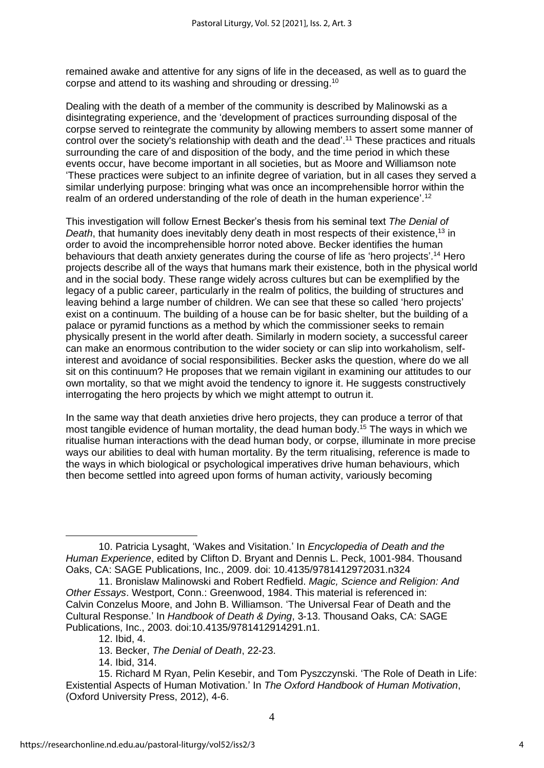remained awake and attentive for any signs of life in the deceased, as well as to guard the corpse and attend to its washing and shrouding or dressing.<sup>10</sup>

Dealing with the death of a member of the community is described by Malinowski as a disintegrating experience, and the 'development of practices surrounding disposal of the corpse served to reintegrate the community by allowing members to assert some manner of control over the society's relationship with death and the dead'. <sup>11</sup> These practices and rituals surrounding the care of and disposition of the body, and the time period in which these events occur, have become important in all societies, but as Moore and Williamson note 'These practices were subject to an infinite degree of variation, but in all cases they served a similar underlying purpose: bringing what was once an incomprehensible horror within the realm of an ordered understanding of the role of death in the human experience'.<sup>12</sup>

This investigation will follow Ernest Becker's thesis from his seminal text *The Denial of*  Death, that humanity does inevitably deny death in most respects of their existence,<sup>13</sup> in order to avoid the incomprehensible horror noted above. Becker identifies the human behaviours that death anxiety generates during the course of life as 'hero projects'.<sup>14</sup> Hero projects describe all of the ways that humans mark their existence, both in the physical world and in the social body. These range widely across cultures but can be exemplified by the legacy of a public career, particularly in the realm of politics, the building of structures and leaving behind a large number of children. We can see that these so called 'hero projects' exist on a continuum. The building of a house can be for basic shelter, but the building of a palace or pyramid functions as a method by which the commissioner seeks to remain physically present in the world after death. Similarly in modern society, a successful career can make an enormous contribution to the wider society or can slip into workaholism, selfinterest and avoidance of social responsibilities. Becker asks the question, where do we all sit on this continuum? He proposes that we remain vigilant in examining our attitudes to our own mortality, so that we might avoid the tendency to ignore it. He suggests constructively interrogating the hero projects by which we might attempt to outrun it.

In the same way that death anxieties drive hero projects, they can produce a terror of that most tangible evidence of human mortality, the dead human body.<sup>15</sup> The ways in which we ritualise human interactions with the dead human body, or corpse, illuminate in more precise ways our abilities to deal with human mortality. By the term ritualising, reference is made to the ways in which biological or psychological imperatives drive human behaviours, which then become settled into agreed upon forms of human activity, variously becoming

14. Ibid, 314.

<sup>10.</sup> Patricia Lysaght, 'Wakes and Visitation.' In *Encyclopedia of Death and the Human Experience*, edited by Clifton D. Bryant and Dennis L. Peck, 1001-984. Thousand Oaks, CA: SAGE Publications, Inc., 2009. doi: 10.4135/9781412972031.n324

<sup>11.</sup> Bronislaw Malinowski and Robert Redfield. *Magic, Science and Religion: And Other Essays*. Westport, Conn.: Greenwood, 1984. This material is referenced in: Calvin Conzelus Moore, and John B. Williamson. 'The Universal Fear of Death and the Cultural Response.' In *Handbook of Death & Dying*, 3-13. Thousand Oaks, CA: SAGE Publications, Inc., 2003. doi:10.4135/9781412914291.n1.

<sup>12.</sup> Ibid, 4.

<sup>13.</sup> Becker, *The Denial of Death*, 22-23.

<sup>15.</sup> Richard M Ryan, Pelin Kesebir, and Tom Pyszczynski. 'The Role of Death in Life: Existential Aspects of Human Motivation.' In *The Oxford Handbook of Human Motivation*, (Oxford University Press, 2012), 4-6.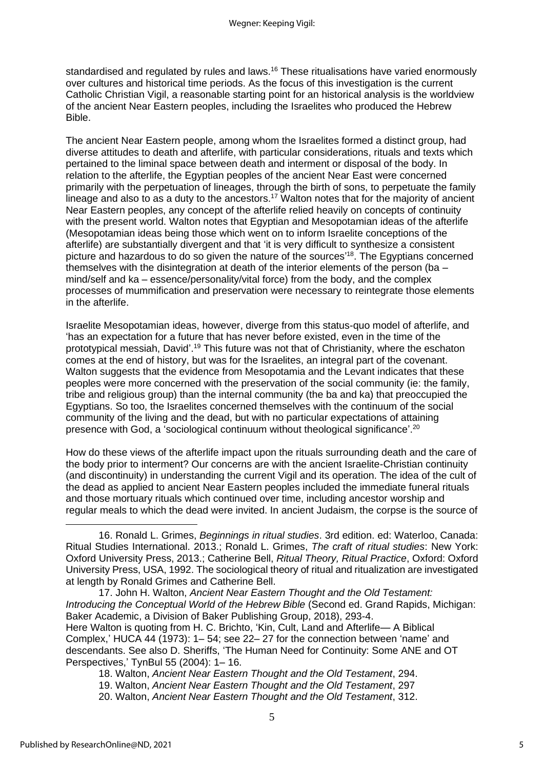standardised and regulated by rules and laws.<sup>16</sup> These ritualisations have varied enormously over cultures and historical time periods. As the focus of this investigation is the current Catholic Christian Vigil, a reasonable starting point for an historical analysis is the worldview of the ancient Near Eastern peoples, including the Israelites who produced the Hebrew Bible.

The ancient Near Eastern people, among whom the Israelites formed a distinct group, had diverse attitudes to death and afterlife, with particular considerations, rituals and texts which pertained to the liminal space between death and interment or disposal of the body. In relation to the afterlife, the Egyptian peoples of the ancient Near East were concerned primarily with the perpetuation of lineages, through the birth of sons, to perpetuate the family lineage and also to as a duty to the ancestors.<sup>17</sup> Walton notes that for the majority of ancient Near Eastern peoples, any concept of the afterlife relied heavily on concepts of continuity with the present world. Walton notes that Egyptian and Mesopotamian ideas of the afterlife (Mesopotamian ideas being those which went on to inform Israelite conceptions of the afterlife) are substantially divergent and that 'it is very difficult to synthesize a consistent picture and hazardous to do so given the nature of the sources<sup>18</sup>. The Egyptians concerned themselves with the disintegration at death of the interior elements of the person (ba – mind/self and ka – essence/personality/vital force) from the body, and the complex processes of mummification and preservation were necessary to reintegrate those elements in the afterlife.

Israelite Mesopotamian ideas, however, diverge from this status-quo model of afterlife, and 'has an expectation for a future that has never before existed, even in the time of the prototypical messiah, David'.<sup>19</sup> This future was not that of Christianity, where the eschaton comes at the end of history, but was for the Israelites, an integral part of the covenant. Walton suggests that the evidence from Mesopotamia and the Levant indicates that these peoples were more concerned with the preservation of the social community (ie: the family, tribe and religious group) than the internal community (the ba and ka) that preoccupied the Egyptians. So too, the Israelites concerned themselves with the continuum of the social community of the living and the dead, but with no particular expectations of attaining presence with God, a 'sociological continuum without theological significance'.<sup>20</sup>

How do these views of the afterlife impact upon the rituals surrounding death and the care of the body prior to interment? Our concerns are with the ancient Israelite-Christian continuity (and discontinuity) in understanding the current Vigil and its operation. The idea of the cult of the dead as applied to ancient Near Eastern peoples included the immediate funeral rituals and those mortuary rituals which continued over time, including ancestor worship and regular meals to which the dead were invited. In ancient Judaism, the corpse is the source of

16. Ronald L. Grimes, *Beginnings in ritual studies*. 3rd edition. ed: Waterloo, Canada: Ritual Studies International. 2013.; Ronald L. Grimes, *The craft of ritual studies*: New York: Oxford University Press, 2013.; Catherine Bell, *Ritual Theory, Ritual Practice*, Oxford: Oxford University Press, USA, 1992. The sociological theory of ritual and ritualization are investigated at length by Ronald Grimes and Catherine Bell.

17. John H. Walton, *Ancient Near Eastern Thought and the Old Testament: Introducing the Conceptual World of the Hebrew Bible* (Second ed. Grand Rapids, Michigan: Baker Academic, a Division of Baker Publishing Group, 2018), 293-4.

Here Walton is quoting from H. C. Brichto, 'Kin, Cult, Land and Afterlife— A Biblical Complex,' HUCA 44 (1973): 1– 54; see 22– 27 for the connection between 'name' and descendants. See also D. Sheriffs, 'The Human Need for Continuity: Some ANE and OT Perspectives,' TynBul 55 (2004): 1– 16.

18. Walton, *Ancient Near Eastern Thought and the Old Testament*, 294.

- 19. Walton, *Ancient Near Eastern Thought and the Old Testament*, 297
- 20. Walton, *Ancient Near Eastern Thought and the Old Testament*, 312.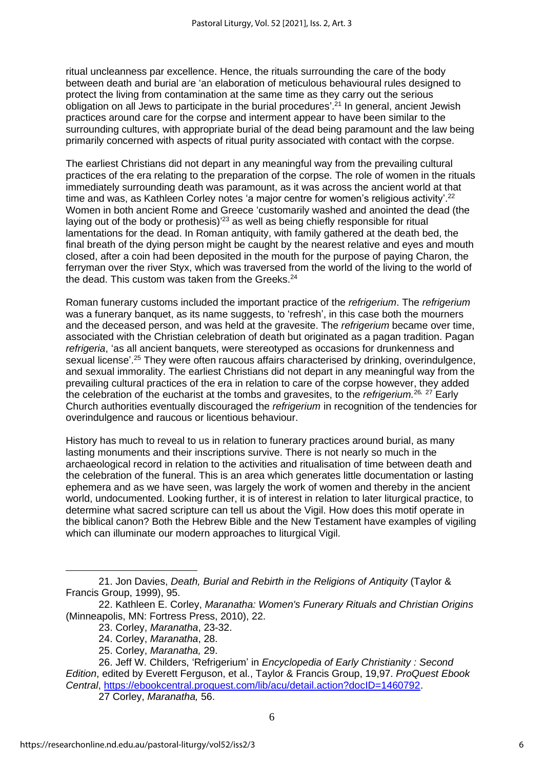ritual uncleanness par excellence. Hence, the rituals surrounding the care of the body between death and burial are 'an elaboration of meticulous behavioural rules designed to protect the living from contamination at the same time as they carry out the serious obligation on all Jews to participate in the burial procedures'.<sup>21</sup> In general, ancient Jewish practices around care for the corpse and interment appear to have been similar to the surrounding cultures, with appropriate burial of the dead being paramount and the law being primarily concerned with aspects of ritual purity associated with contact with the corpse.

The earliest Christians did not depart in any meaningful way from the prevailing cultural practices of the era relating to the preparation of the corpse. The role of women in the rituals immediately surrounding death was paramount, as it was across the ancient world at that time and was, as Kathleen Corley notes 'a major centre for women's religious activity'.<sup>22</sup> Women in both ancient Rome and Greece 'customarily washed and anointed the dead (the laying out of the body or prothesis)<sup>'23</sup> as well as being chiefly responsible for ritual lamentations for the dead. In Roman antiquity, with family gathered at the death bed, the final breath of the dying person might be caught by the nearest relative and eyes and mouth closed, after a coin had been deposited in the mouth for the purpose of paying Charon, the ferryman over the river Styx, which was traversed from the world of the living to the world of the dead. This custom was taken from the Greeks.<sup>24</sup>

Roman funerary customs included the important practice of the *refrigerium*. The *refrigerium* was a funerary banquet, as its name suggests, to 'refresh', in this case both the mourners and the deceased person, and was held at the gravesite. The *refrigerium* became over time, associated with the Christian celebration of death but originated as a pagan tradition. Pagan *refrigeria*, 'as all ancient banquets, were stereotyped as occasions for drunkenness and sexual license'.<sup>25</sup> They were often raucous affairs characterised by drinking, overindulgence, and sexual immorality. The earliest Christians did not depart in any meaningful way from the prevailing cultural practices of the era in relation to care of the corpse however, they added the celebration of the eucharist at the tombs and gravesites, to the *refrigerium.* <sup>26</sup>*,* <sup>27</sup> Early Church authorities eventually discouraged the *refrigerium* in recognition of the tendencies for overindulgence and raucous or licentious behaviour.

History has much to reveal to us in relation to funerary practices around burial, as many lasting monuments and their inscriptions survive. There is not nearly so much in the archaeological record in relation to the activities and ritualisation of time between death and the celebration of the funeral. This is an area which generates little documentation or lasting ephemera and as we have seen, was largely the work of women and thereby in the ancient world, undocumented. Looking further, it is of interest in relation to later liturgical practice, to determine what sacred scripture can tell us about the Vigil. How does this motif operate in the biblical canon? Both the Hebrew Bible and the New Testament have examples of vigiling which can illuminate our modern approaches to liturgical Vigil.

25. Corley, *Maranatha,* 29.

<sup>21.</sup> Jon Davies, *Death, Burial and Rebirth in the Religions of Antiquity* (Taylor & Francis Group, 1999), 95.

<sup>22.</sup> Kathleen E. Corley, *Maranatha: Women's Funerary Rituals and Christian Origins* (Minneapolis, MN: Fortress Press, 2010), 22.

<sup>23.</sup> Corley, *Maranatha*, 23-32.

<sup>24.</sup> Corley, *Maranatha*, 28.

<sup>26.</sup> Jeff W. Childers, 'Refrigerium' in *Encyclopedia of Early Christianity : Second Edition*, edited by Everett Ferguson, et al., Taylor & Francis Group, 19,97. *ProQuest Ebook Central*, [https://ebookcentral.proquest.com/lib/acu/detail.action?docID=1460792.](https://ebookcentral.proquest.com/lib/acu/detail.action?docID=1460792)

<sup>27</sup> Corley, *Maranatha,* 56.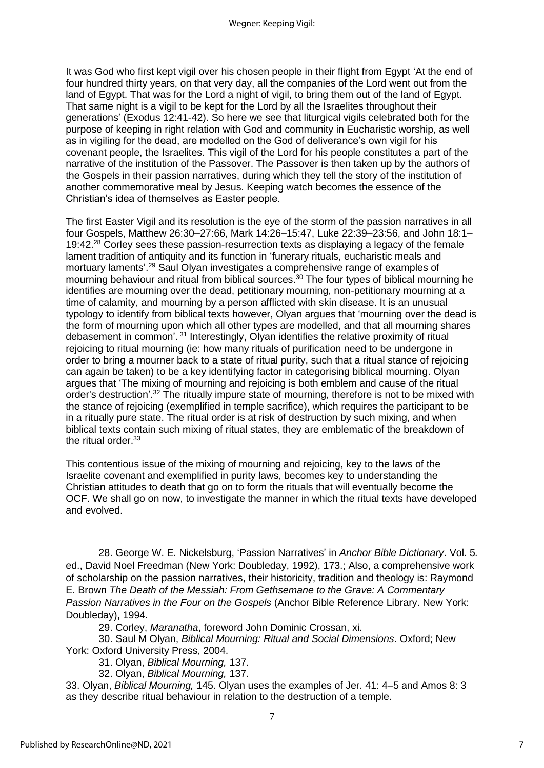It was God who first kept vigil over his chosen people in their flight from Egypt 'At the end of four hundred thirty years, on that very day, all the companies of the Lord went out from the land of Egypt. That was for the Lord a night of vigil, to bring them out of the land of Egypt. That same night is a vigil to be kept for the Lord by all the Israelites throughout their generations' (Exodus 12:41-42). So here we see that liturgical vigils celebrated both for the purpose of keeping in right relation with God and community in Eucharistic worship, as well as in vigiling for the dead, are modelled on the God of deliverance's own vigil for his covenant people, the Israelites. This vigil of the Lord for his people constitutes a part of the narrative of the institution of the Passover. The Passover is then taken up by the authors of the Gospels in their passion narratives, during which they tell the story of the institution of another commemorative meal by Jesus. Keeping watch becomes the essence of the Christian's idea of themselves as Easter people.

The first Easter Vigil and its resolution is the eye of the storm of the passion narratives in all four Gospels, Matthew 26:30–27:66, Mark 14:26–15:47, Luke 22:39–23:56, and John 18:1– 19:42.<sup>28</sup> Corley sees these passion-resurrection texts as displaying a legacy of the female lament tradition of antiquity and its function in 'funerary rituals, eucharistic meals and mortuary laments'. <sup>29</sup> Saul Olyan investigates a comprehensive range of examples of mourning behaviour and ritual from biblical sources. <sup>30</sup> The four types of biblical mourning he identifies are mourning over the dead, petitionary mourning, non-petitionary mourning at a time of calamity, and mourning by a person afflicted with skin disease. It is an unusual typology to identify from biblical texts however, Olyan argues that 'mourning over the dead is the form of mourning upon which all other types are modelled, and that all mourning shares debasement in common'.<sup>31</sup> Interestingly, Olyan identifies the relative proximity of ritual rejoicing to ritual mourning (ie: how many rituals of purification need to be undergone in order to bring a mourner back to a state of ritual purity, such that a ritual stance of rejoicing can again be taken) to be a key identifying factor in categorising biblical mourning. Olyan argues that 'The mixing of mourning and rejoicing is both emblem and cause of the ritual order's destruction'.<sup>32</sup> The ritually impure state of mourning, therefore is not to be mixed with the stance of rejoicing (exemplified in temple sacrifice), which requires the participant to be in a ritually pure state. The ritual order is at risk of destruction by such mixing, and when biblical texts contain such mixing of ritual states, they are emblematic of the breakdown of the ritual order.<sup>33</sup>

This contentious issue of the mixing of mourning and rejoicing, key to the laws of the Israelite covenant and exemplified in purity laws, becomes key to understanding the Christian attitudes to death that go on to form the rituals that will eventually become the OCF. We shall go on now, to investigate the manner in which the ritual texts have developed and evolved.

- 31. Olyan, *Biblical Mourning,* 137.
- 32. Olyan, *Biblical Mourning,* 137.
- 33. Olyan, *Biblical Mourning,* 145. Olyan uses the examples of Jer. 41: 4–5 and Amos 8: 3 as they describe ritual behaviour in relation to the destruction of a temple.

<sup>28.</sup> George W. E. Nickelsburg, 'Passion Narratives' in *Anchor Bible Dictionary*. Vol. 5*.* ed., David Noel Freedman (New York: Doubleday, 1992), 173.; Also, a comprehensive work of scholarship on the passion narratives, their historicity, tradition and theology is: Raymond E. Brown *The Death of the Messiah: From Gethsemane to the Grave: A Commentary Passion Narratives in the Four on the Gospels* (Anchor Bible Reference Library. New York: Doubleday), 1994.

<sup>29.</sup> Corley, *Maranatha*, foreword John Dominic Crossan, xi.

<sup>30.</sup> Saul M Olyan, *Biblical Mourning: Ritual and Social Dimensions*. Oxford; New York: Oxford University Press, 2004.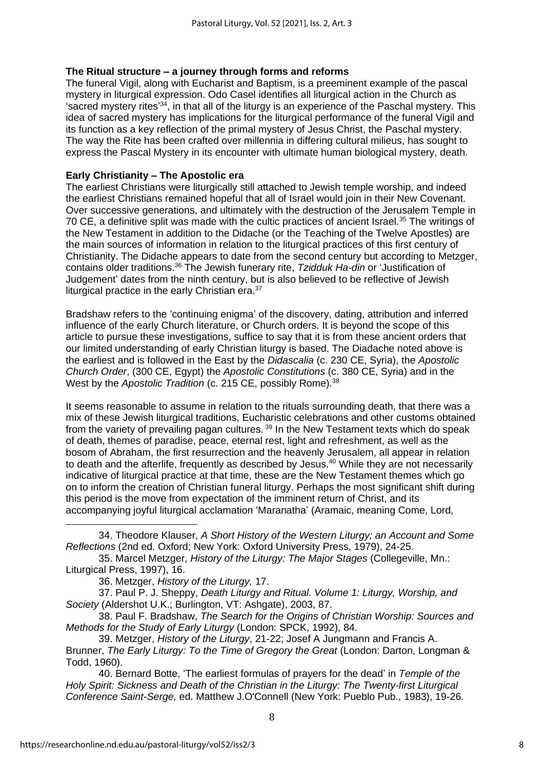#### **The Ritual structure – a journey through forms and reforms**

The funeral Vigil, along with Eucharist and Baptism, is a preeminent example of the pascal mystery in liturgical expression. Odo Casel identifies all liturgical action in the Church as 'sacred mystery rites<sup>'34</sup>, in that all of the liturgy is an experience of the Paschal mystery. This idea of sacred mystery has implications for the liturgical performance of the funeral Vigil and its function as a key reflection of the primal mystery of Jesus Christ, the Paschal mystery. The way the Rite has been crafted over millennia in differing cultural milieus, has sought to express the Pascal Mystery in its encounter with ultimate human biological mystery, death.

#### **Early Christianity – The Apostolic era**

The earliest Christians were liturgically still attached to Jewish temple worship, and indeed the earliest Christians remained hopeful that all of Israel would join in their New Covenant. Over successive generations, and ultimately with the destruction of the Jerusalem Temple in 70 CE, a definitive split was made with the cultic practices of ancient Israel.<sup>35</sup> The writings of the New Testament in addition to the Didache (or the Teaching of the Twelve Apostles) are the main sources of information in relation to the liturgical practices of this first century of Christianity. The Didache appears to date from the second century but according to Metzger, contains older traditions.<sup>36</sup> The Jewish funerary rite, *Tzidduk Ha-din* or 'Justification of Judgement' dates from the ninth century, but is also believed to be reflective of Jewish liturgical practice in the early Christian era.<sup>37</sup>

Bradshaw refers to the 'continuing enigma' of the discovery, dating, attribution and inferred influence of the early Church literature, or Church orders. It is beyond the scope of this article to pursue these investigations, suffice to say that it is from these ancient orders that our limited understanding of early Christian liturgy is based. The Diadache noted above is the earliest and is followed in the East by the *Didascalia* (c. 230 CE, Syria), the *Apostolic Church Order*, (300 CE, Egypt) the *Apostolic Constitutions* (c. 380 CE, Syria) and in the West by the *Apostolic Tradition* (c. 215 CE, possibly Rome).<sup>38</sup>

It seems reasonable to assume in relation to the rituals surrounding death, that there was a mix of these Jewish liturgical traditions, Eucharistic celebrations and other customs obtained from the variety of prevailing pagan cultures.<sup>39</sup> In the New Testament texts which do speak of death, themes of paradise, peace, eternal rest, light and refreshment, as well as the bosom of Abraham, the first resurrection and the heavenly Jerusalem, all appear in relation to death and the afterlife, frequently as described by Jesus.<sup>40</sup> While they are not necessarily indicative of liturgical practice at that time, these are the New Testament themes which go on to inform the creation of Christian funeral liturgy. Perhaps the most significant shift during this period is the move from expectation of the imminent return of Christ, and its accompanying joyful liturgical acclamation 'Maranatha' (Aramaic, meaning Come, Lord,

34. Theodore Klauser, *A Short History of the Western Liturgy; an Account and Some Reflections* (2nd ed. Oxford; New York: Oxford University Press, 1979), 24-25.

36. Metzger, *History of the Liturgy,* 17.

37. Paul P. J. Sheppy, *Death Liturgy and Ritual. Volume 1: Liturgy, Worship, and Society* (Aldershot U.K.; Burlington, VT: Ashgate), 2003, 87.

38. Paul F. Bradshaw, *The Search for the Origins of Christian Worship: Sources and Methods for the Study of Early Liturgy* (London: SPCK, 1992), 84.

40. Bernard Botte, 'The earliest formulas of prayers for the dead' in *Temple of the Holy Spirit: Sickness and Death of the Christian in the Liturgy: The Twenty-first Liturgical Conference Saint-Serge,* ed. Matthew J.O'Connell (New York: Pueblo Pub., 1983), 19-26.

<sup>35.</sup> Marcel Metzger, *History of the Liturgy: The Major Stages* (Collegeville, Mn.: Liturgical Press, 1997), 16.

<sup>39.</sup> Metzger, *History of the Liturgy*, 21-22; Josef A Jungmann and Francis A. Brunner, *The Early Liturgy: To the Time of Gregory the Great* (London: Darton, Longman & Todd, 1960).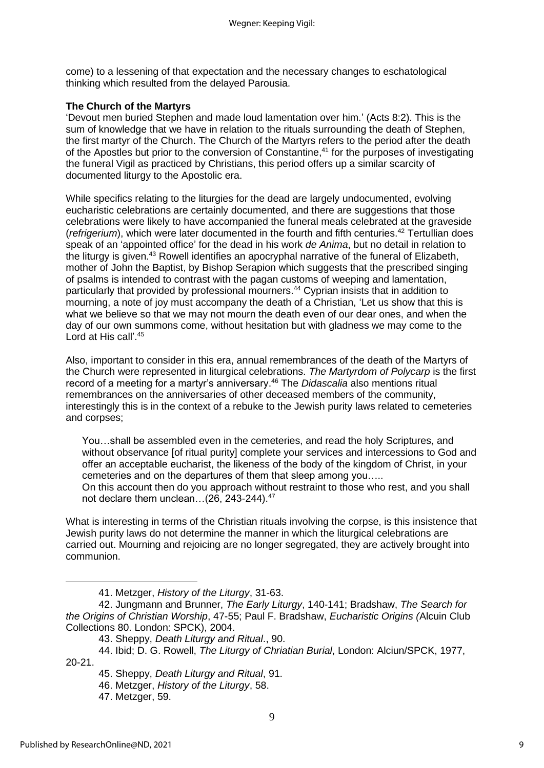come) to a lessening of that expectation and the necessary changes to eschatological thinking which resulted from the delayed Parousia.

### **The Church of the Martyrs**

'Devout men buried Stephen and made loud lamentation over him.' (Acts 8:2). This is the sum of knowledge that we have in relation to the rituals surrounding the death of Stephen, the first martyr of the Church. The Church of the Martyrs refers to the period after the death of the Apostles but prior to the conversion of Constantine,<sup>41</sup> for the purposes of investigating the funeral Vigil as practiced by Christians, this period offers up a similar scarcity of documented liturgy to the Apostolic era.

While specifics relating to the liturgies for the dead are largely undocumented, evolving eucharistic celebrations are certainly documented, and there are suggestions that those celebrations were likely to have accompanied the funeral meals celebrated at the graveside (*refrigerium*), which were later documented in the fourth and fifth centuries.<sup>42</sup> Tertullian does speak of an 'appointed office' for the dead in his work *de Anima*, but no detail in relation to the liturgy is given.<sup>43</sup> Rowell identifies an apocryphal narrative of the funeral of Elizabeth, mother of John the Baptist, by Bishop Serapion which suggests that the prescribed singing of psalms is intended to contrast with the pagan customs of weeping and lamentation, particularly that provided by professional mourners.<sup>44</sup> Cyprian insists that in addition to mourning, a note of joy must accompany the death of a Christian, 'Let us show that this is what we believe so that we may not mourn the death even of our dear ones, and when the day of our own summons come, without hesitation but with gladness we may come to the Lord at His call'. 45

Also, important to consider in this era, annual remembrances of the death of the Martyrs of the Church were represented in liturgical celebrations. *The Martyrdom of Polycarp* is the first record of a meeting for a martyr's anniversary. <sup>46</sup> The *Didascalia* also mentions ritual remembrances on the anniversaries of other deceased members of the community, interestingly this is in the context of a rebuke to the Jewish purity laws related to cemeteries and corpses;

You…shall be assembled even in the cemeteries, and read the holy Scriptures, and without observance [of ritual purity] complete your services and intercessions to God and offer an acceptable eucharist, the likeness of the body of the kingdom of Christ, in your cemeteries and on the departures of them that sleep among you….. On this account then do you approach without restraint to those who rest, and you shall

not declare them unclean...(26, 243-244).<sup>47</sup> What is interesting in terms of the Christian rituals involving the corpse, is this insistence that Jewish purity laws do not determine the manner in which the liturgical celebrations are

carried out. Mourning and rejoicing are no longer segregated, they are actively brought into communion.

47. Metzger, 59.

<sup>41.</sup> Metzger, *History of the Liturgy*, 31-63.

<sup>42.</sup> Jungmann and Brunner, *The Early Liturgy*, 140-141; Bradshaw, *The Search for the Origins of Christian Worship*, 47-55; Paul F. Bradshaw, *Eucharistic Origins (*Alcuin Club Collections 80. London: SPCK), 2004.

<sup>43.</sup> Sheppy, *Death Liturgy and Ritual*., 90.

<sup>44.</sup> Ibid; D. G. Rowell, *The Liturgy of Chriatian Burial*, London: Alciun/SPCK, 1977, 20-21.

<sup>45.</sup> Sheppy, *Death Liturgy and Ritual*, 91.

<sup>46.</sup> Metzger, *History of the Liturgy*, 58.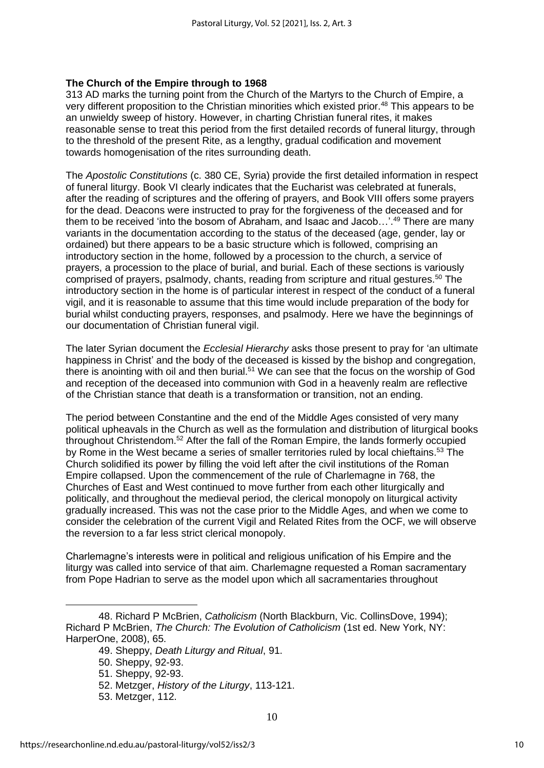#### **The Church of the Empire through to 1968**

313 AD marks the turning point from the Church of the Martyrs to the Church of Empire, a very different proposition to the Christian minorities which existed prior.<sup>48</sup> This appears to be an unwieldy sweep of history. However, in charting Christian funeral rites, it makes reasonable sense to treat this period from the first detailed records of funeral liturgy, through to the threshold of the present Rite, as a lengthy, gradual codification and movement towards homogenisation of the rites surrounding death.

The *Apostolic Constitutions* (c. 380 CE, Syria) provide the first detailed information in respect of funeral liturgy. Book VI clearly indicates that the Eucharist was celebrated at funerals, after the reading of scriptures and the offering of prayers, and Book VIII offers some prayers for the dead. Deacons were instructed to pray for the forgiveness of the deceased and for them to be received 'into the bosom of Abraham, and Isaac and Jacob...'.<sup>49</sup> There are many variants in the documentation according to the status of the deceased (age, gender, lay or ordained) but there appears to be a basic structure which is followed, comprising an introductory section in the home, followed by a procession to the church, a service of prayers, a procession to the place of burial, and burial. Each of these sections is variously comprised of prayers, psalmody, chants, reading from scripture and ritual gestures.<sup>50</sup> The introductory section in the home is of particular interest in respect of the conduct of a funeral vigil, and it is reasonable to assume that this time would include preparation of the body for burial whilst conducting prayers, responses, and psalmody. Here we have the beginnings of our documentation of Christian funeral vigil.

The later Syrian document the *Ecclesial Hierarchy* asks those present to pray for 'an ultimate happiness in Christ' and the body of the deceased is kissed by the bishop and congregation, there is anointing with oil and then burial.<sup>51</sup> We can see that the focus on the worship of God and reception of the deceased into communion with God in a heavenly realm are reflective of the Christian stance that death is a transformation or transition, not an ending.

The period between Constantine and the end of the Middle Ages consisted of very many political upheavals in the Church as well as the formulation and distribution of liturgical books throughout Christendom.<sup>52</sup> After the fall of the Roman Empire, the lands formerly occupied by Rome in the West became a series of smaller territories ruled by local chieftains.<sup>53</sup> The Church solidified its power by filling the void left after the civil institutions of the Roman Empire collapsed. Upon the commencement of the rule of Charlemagne in 768, the Churches of East and West continued to move further from each other liturgically and politically, and throughout the medieval period, the clerical monopoly on liturgical activity gradually increased. This was not the case prior to the Middle Ages, and when we come to consider the celebration of the current Vigil and Related Rites from the OCF, we will observe the reversion to a far less strict clerical monopoly.

Charlemagne's interests were in political and religious unification of his Empire and the liturgy was called into service of that aim. Charlemagne requested a Roman sacramentary from Pope Hadrian to serve as the model upon which all sacramentaries throughout

<sup>48.</sup> Richard P McBrien, *Catholicism* (North Blackburn, Vic. CollinsDove, 1994); Richard P McBrien, *The Church: The Evolution of Catholicism* (1st ed. New York, NY: HarperOne, 2008), 65.

<sup>49.</sup> Sheppy, *Death Liturgy and Ritual*, 91.

<sup>50.</sup> Sheppy, 92-93.

<sup>51.</sup> Sheppy, 92-93.

<sup>52.</sup> Metzger, *History of the Liturgy*, 113-121.

<sup>53.</sup> Metzger, 112.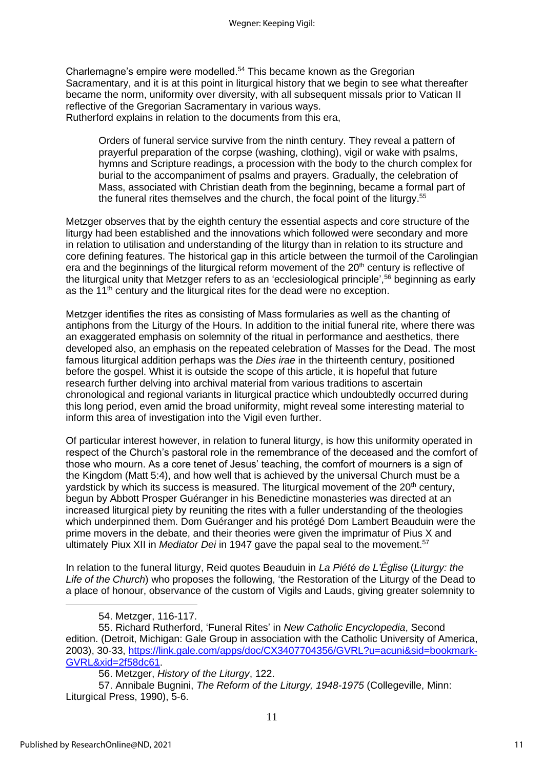Charlemagne's empire were modelled.<sup>54</sup> This became known as the Gregorian Sacramentary, and it is at this point in liturgical history that we begin to see what thereafter became the norm, uniformity over diversity, with all subsequent missals prior to Vatican II reflective of the Gregorian Sacramentary in various ways. Rutherford explains in relation to the documents from this era,

Orders of funeral service survive from the ninth century. They reveal a pattern of prayerful preparation of the corpse (washing, clothing), vigil or wake with psalms, hymns and Scripture readings, a procession with the body to the church complex for burial to the accompaniment of psalms and prayers. Gradually, the celebration of Mass, associated with Christian death from the beginning, became a formal part of the funeral rites themselves and the church, the focal point of the liturgy.<sup>55</sup>

Metzger observes that by the eighth century the essential aspects and core structure of the liturgy had been established and the innovations which followed were secondary and more in relation to utilisation and understanding of the liturgy than in relation to its structure and core defining features. The historical gap in this article between the turmoil of the Carolingian era and the beginnings of the liturgical reform movement of the 20<sup>th</sup> century is reflective of the liturgical unity that Metzger refers to as an 'ecclesiological principle', <sup>56</sup> beginning as early as the  $11<sup>th</sup>$  century and the liturgical rites for the dead were no exception.

Metzger identifies the rites as consisting of Mass formularies as well as the chanting of antiphons from the Liturgy of the Hours. In addition to the initial funeral rite, where there was an exaggerated emphasis on solemnity of the ritual in performance and aesthetics, there developed also, an emphasis on the repeated celebration of Masses for the Dead. The most famous liturgical addition perhaps was the *Dies irae* in the thirteenth century, positioned before the gospel. Whist it is outside the scope of this article, it is hopeful that future research further delving into archival material from various traditions to ascertain chronological and regional variants in liturgical practice which undoubtedly occurred during this long period, even amid the broad uniformity, might reveal some interesting material to inform this area of investigation into the Vigil even further.

Of particular interest however, in relation to funeral liturgy, is how this uniformity operated in respect of the Church's pastoral role in the remembrance of the deceased and the comfort of those who mourn. As a core tenet of Jesus' teaching, the comfort of mourners is a sign of the Kingdom (Matt 5:4), and how well that is achieved by the universal Church must be a yardstick by which its success is measured. The liturgical movement of the 20<sup>th</sup> century, begun by Abbott Prosper Guéranger in his Benedictine monasteries was directed at an increased liturgical piety by reuniting the rites with a fuller understanding of the theologies which underpinned them. Dom Guéranger and his protégé Dom Lambert Beauduin were the prime movers in the debate, and their theories were given the imprimatur of Pius X and ultimately Piux XII in *Mediator Dei* in 1947 gave the papal seal to the movement.<sup>57</sup>

In relation to the funeral liturgy, Reid quotes Beauduin in *La Piété de L'Église* (*Liturgy: the Life of the Church*) who proposes the following, 'the Restoration of the Liturgy of the Dead to a place of honour, observance of the custom of Vigils and Lauds, giving greater solemnity to

54. Metzger, 116-117.

55. Richard Rutherford, 'Funeral Rites' in *New Catholic Encyclopedia*, Second edition. (Detroit, Michigan: Gale Group in association with the Catholic University of America, 2003), 30-33, [https://link.gale.com/apps/doc/CX3407704356/GVRL?u=acuni&sid=bookmark-](https://link.gale.com/apps/doc/CX3407704356/GVRL?u=acuni&sid=bookmark-GVRL&xid=2f58dc61)[GVRL&xid=2f58dc61.](https://link.gale.com/apps/doc/CX3407704356/GVRL?u=acuni&sid=bookmark-GVRL&xid=2f58dc61)

56. Metzger, *History of the Liturgy*, 122.

57. Annibale Bugnini, *The Reform of the Liturgy, 1948-1975* (Collegeville, Minn: Liturgical Press, 1990), 5-6.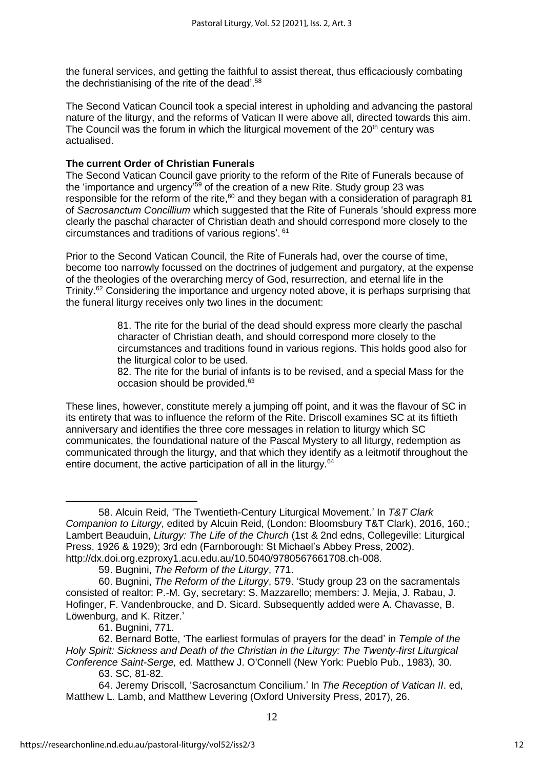the funeral services, and getting the faithful to assist thereat, thus efficaciously combating the dechristianising of the rite of the dead'.<sup>58</sup>

The Second Vatican Council took a special interest in upholding and advancing the pastoral nature of the liturgy, and the reforms of Vatican II were above all, directed towards this aim. The Council was the forum in which the liturgical movement of the  $20<sup>th</sup>$  century was actualised.

#### **The current Order of Christian Funerals**

The Second Vatican Council gave priority to the reform of the Rite of Funerals because of the 'importance and urgency'<sup>59</sup> of the creation of a new Rite. Study group 23 was responsible for the reform of the rite, $60$  and they began with a consideration of paragraph 81 of *Sacrosanctum Concillium* which suggested that the Rite of Funerals 'should express more clearly the paschal character of Christian death and should correspond more closely to the circumstances and traditions of various regions'. 61

Prior to the Second Vatican Council, the Rite of Funerals had, over the course of time, become too narrowly focussed on the doctrines of judgement and purgatory, at the expense of the theologies of the overarching mercy of God, resurrection, and eternal life in the Trinity.<sup>62</sup> Considering the importance and urgency noted above, it is perhaps surprising that the funeral liturgy receives only two lines in the document:

> 81. The rite for the burial of the dead should express more clearly the paschal character of Christian death, and should correspond more closely to the circumstances and traditions found in various regions. This holds good also for the liturgical color to be used.

> 82. The rite for the burial of infants is to be revised, and a special Mass for the occasion should be provided.<sup>63</sup>

These lines, however, constitute merely a jumping off point, and it was the flavour of SC in its entirety that was to influence the reform of the Rite. Driscoll examines SC at its fiftieth anniversary and identifies the three core messages in relation to liturgy which SC communicates, the foundational nature of the Pascal Mystery to all liturgy, redemption as communicated through the liturgy, and that which they identify as a leitmotif throughout the entire document, the active participation of all in the liturgy.<sup>64</sup>

<sup>58.</sup> Alcuin Reid, 'The Twentieth-Century Liturgical Movement.' In *T&T Clark Companion to Liturgy*, edited by Alcuin Reid, (London: Bloomsbury T&T Clark), 2016, 160.; Lambert Beauduin, *Liturgy: The Life of the Church* (1st & 2nd edns, Collegeville: Liturgical Press, 1926 & 1929); 3rd edn (Farnborough: St Michael's Abbey Press, 2002). http://dx.doi.org.ezproxy1.acu.edu.au/10.5040/9780567661708.ch-008.

<sup>59.</sup> Bugnini, *The Reform of the Liturgy*, 771.

<sup>60.</sup> Bugnini, *The Reform of the Liturgy*, 579. 'Study group 23 on the sacramentals consisted of realtor: P.-M. Gy, secretary: S. Mazzarello; members: J. Mejia, J. Rabau, J. Hofinger, F. Vandenbroucke, and D. Sicard. Subsequently added were A. Chavasse, B. Löwenburg, and K. Ritzer.'

<sup>61.</sup> Bugnini, 771.

<sup>62.</sup> Bernard Botte, 'The earliest formulas of prayers for the dead' in *Temple of the Holy Spirit: Sickness and Death of the Christian in the Liturgy: The Twenty-first Liturgical Conference Saint-Serge,* ed. Matthew J. O'Connell (New York: Pueblo Pub., 1983), 30.

<sup>63.</sup> SC, 81-82.

<sup>64.</sup> Jeremy Driscoll, 'Sacrosanctum Concilium.' In *The Reception of Vatican II*. ed, Matthew L. Lamb, and Matthew Levering (Oxford University Press, 2017), 26.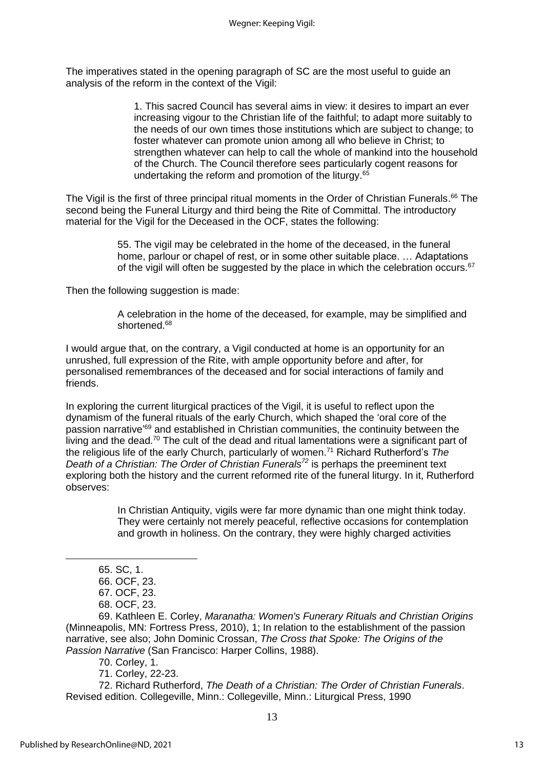The imperatives stated in the opening paragraph of SC are the most useful to guide an analysis of the reform in the context of the Vigil:

> 1. This sacred Council has several aims in view: it desires to impart an ever increasing vigour to the Christian life of the faithful; to adapt more suitably to the needs of our own times those institutions which are subject to change; to foster whatever can promote union among all who believe in Christ; to strengthen whatever can help to call the whole of mankind into the household of the Church. The Council therefore sees particularly cogent reasons for undertaking the reform and promotion of the liturgy.<sup>65</sup>

The Vigil is the first of three principal ritual moments in the Order of Christian Funerals.<sup>66</sup> The second being the Funeral Liturgy and third being the Rite of Committal. The introductory material for the Vigil for the Deceased in the OCF, states the following:

> 55. The vigil may be celebrated in the home of the deceased, in the funeral home, parlour or chapel of rest, or in some other suitable place. … Adaptations of the vigil will often be suggested by the place in which the celebration occurs.<sup>67</sup>

Then the following suggestion is made:

A celebration in the home of the deceased, for example, may be simplified and shortened.<sup>68</sup>

I would argue that, on the contrary, a Vigil conducted at home is an opportunity for an unrushed, full expression of the Rite, with ample opportunity before and after, for personalised remembrances of the deceased and for social interactions of family and friends.

In exploring the current liturgical practices of the Vigil, it is useful to reflect upon the dynamism of the funeral rituals of the early Church, which shaped the 'oral core of the passion narrative<sup>'69</sup> and established in Christian communities, the continuity between the living and the dead.<sup>70</sup> The cult of the dead and ritual lamentations were a significant part of the religious life of the early Church, particularly of women. <sup>71</sup> Richard Rutherford's *The Death of a Christian: The Order of Christian Funerals<sup>72</sup>* is perhaps the preeminent text exploring both the history and the current reformed rite of the funeral liturgy. In it, Rutherford observes:

> In Christian Antiquity, vigils were far more dynamic than one might think today. They were certainly not merely peaceful, reflective occasions for contemplation and growth in holiness. On the contrary, they were highly charged activities

65. SC, 1.

69. Kathleen E. Corley, *Maranatha: Women's Funerary Rituals and Christian Origins* (Minneapolis, MN: Fortress Press, 2010), 1; In relation to the establishment of the passion narrative, see also; John Dominic Crossan, *The Cross that Spoke: The Origins of the Passion Narrative* (San Francisco: Harper Collins, 1988).

70. Corley, 1.

71. Corley, 22-23.

72. Richard Rutherford, *The Death of a Christian: The Order of Christian Funerals*. Revised edition. Collegeville, Minn.: Collegeville, Minn.: Liturgical Press, 1990

<sup>66.</sup> OCF, 23.

<sup>67.</sup> OCF, 23.

<sup>68.</sup> OCF, 23.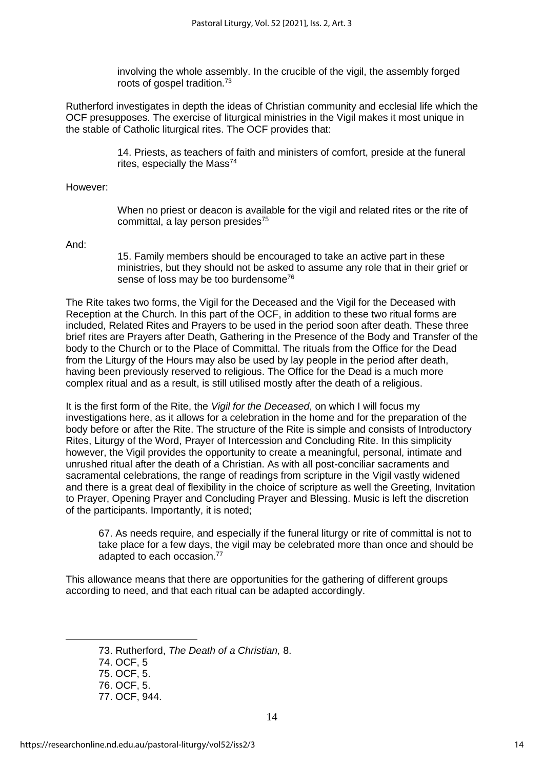involving the whole assembly. In the crucible of the vigil, the assembly forged roots of gospel tradition.<sup>73</sup>

Rutherford investigates in depth the ideas of Christian community and ecclesial life which the OCF presupposes. The exercise of liturgical ministries in the Vigil makes it most unique in the stable of Catholic liturgical rites. The OCF provides that:

> 14. Priests, as teachers of faith and ministers of comfort, preside at the funeral rites, especially the Mass $^{74}$

However:

When no priest or deacon is available for the vigil and related rites or the rite of committal, a lay person presides $75$ 

And:

15. Family members should be encouraged to take an active part in these ministries, but they should not be asked to assume any role that in their grief or sense of loss may be too burdensome<sup>76</sup>

The Rite takes two forms, the Vigil for the Deceased and the Vigil for the Deceased with Reception at the Church. In this part of the OCF, in addition to these two ritual forms are included, Related Rites and Prayers to be used in the period soon after death. These three brief rites are Prayers after Death, Gathering in the Presence of the Body and Transfer of the body to the Church or to the Place of Committal. The rituals from the Office for the Dead from the Liturgy of the Hours may also be used by lay people in the period after death, having been previously reserved to religious. The Office for the Dead is a much more complex ritual and as a result, is still utilised mostly after the death of a religious.

It is the first form of the Rite, the *Vigil for the Deceased*, on which I will focus my investigations here, as it allows for a celebration in the home and for the preparation of the body before or after the Rite. The structure of the Rite is simple and consists of Introductory Rites, Liturgy of the Word, Prayer of Intercession and Concluding Rite. In this simplicity however, the Vigil provides the opportunity to create a meaningful, personal, intimate and unrushed ritual after the death of a Christian. As with all post-conciliar sacraments and sacramental celebrations, the range of readings from scripture in the Vigil vastly widened and there is a great deal of flexibility in the choice of scripture as well the Greeting, Invitation to Prayer, Opening Prayer and Concluding Prayer and Blessing. Music is left the discretion of the participants. Importantly, it is noted;

67. As needs require, and especially if the funeral liturgy or rite of committal is not to take place for a few days, the vigil may be celebrated more than once and should be adapted to each occasion.<sup>77</sup>

This allowance means that there are opportunities for the gathering of different groups according to need, and that each ritual can be adapted accordingly.

73. Rutherford, *The Death of a Christian,* 8.

74. OCF, 5

<sup>75.</sup> OCF, 5.

<sup>76.</sup> OCF, 5.

<sup>77.</sup> OCF, 944.